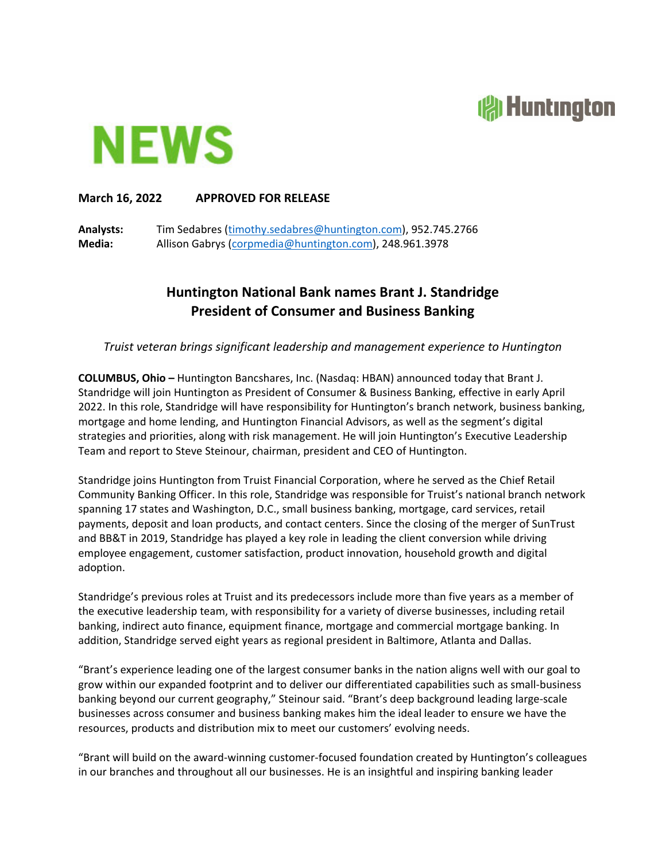## **reduction**



## **March 16, 2022 APPROVED FOR RELEASE**

**Analysts:** Tim Sedabres (timothy.sedabres@huntington.com), 952.745.2766 **Media:** Allison Gabrys (corpmedia@huntington.com), 248.961.3978

## **Huntington National Bank names Brant J. Standridge President of Consumer and Business Banking**

*Truist veteran brings significant leadership and management experience to Huntington*

**COLUMBUS, Ohio –** Huntington Bancshares, Inc. (Nasdaq: HBAN) announced today that Brant J. Standridge will join Huntington as President of Consumer & Business Banking, effective in early April 2022. In this role, Standridge will have responsibility for Huntington's branch network, business banking, mortgage and home lending, and Huntington Financial Advisors, as well as the segment's digital strategies and priorities, along with risk management. He will join Huntington's Executive Leadership Team and report to Steve Steinour, chairman, president and CEO of Huntington.

Standridge joins Huntington from Truist Financial Corporation, where he served as the Chief Retail Community Banking Officer. In this role, Standridge was responsible for Truist's national branch network spanning 17 states and Washington, D.C., small business banking, mortgage, card services, retail payments, deposit and loan products, and contact centers. Since the closing of the merger of SunTrust and BB&T in 2019, Standridge has played a key role in leading the client conversion while driving employee engagement, customer satisfaction, product innovation, household growth and digital adoption.

Standridge's previous roles at Truist and its predecessors include more than five years as a member of the executive leadership team, with responsibility for a variety of diverse businesses, including retail banking, indirect auto finance, equipment finance, mortgage and commercial mortgage banking. In addition, Standridge served eight years as regional president in Baltimore, Atlanta and Dallas.

"Brant's experience leading one of the largest consumer banks in the nation aligns well with our goal to grow within our expanded footprint and to deliver our differentiated capabilities such as small‐business banking beyond our current geography," Steinour said. "Brant's deep background leading large‐scale businesses across consumer and business banking makes him the ideal leader to ensure we have the resources, products and distribution mix to meet our customers' evolving needs.

"Brant will build on the award‐winning customer‐focused foundation created by Huntington's colleagues in our branches and throughout all our businesses. He is an insightful and inspiring banking leader